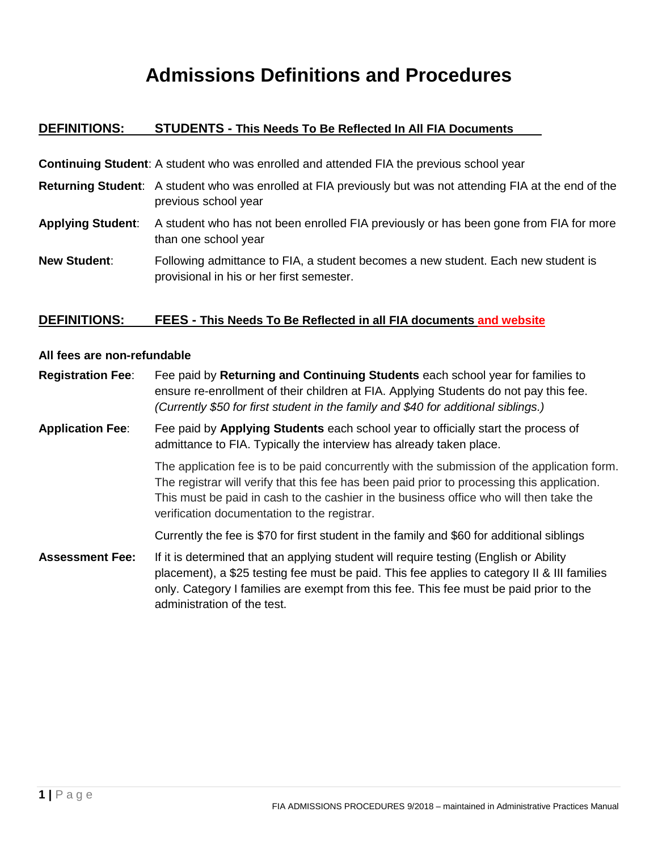## **Admissions Definitions and Procedures**

## **DEFINITIONS: STUDENTS - This Needs To Be Reflected In All FIA Documents**

| <b>Continuing Student:</b> A student who was enrolled and attended FIA the previous school year |                                                                                                                                             |
|-------------------------------------------------------------------------------------------------|---------------------------------------------------------------------------------------------------------------------------------------------|
|                                                                                                 | <b>Returning Student</b> : A student who was enrolled at FIA previously but was not attending FIA at the end of the<br>previous school year |
| <b>Applying Student:</b>                                                                        | A student who has not been enrolled FIA previously or has been gone from FIA for more<br>than one school year                               |
| <b>New Student:</b>                                                                             | Following admittance to FIA, a student becomes a new student. Each new student is<br>provisional in his or her first semester.              |

## **DEFINITIONS: FEES - This Needs To Be Reflected in all FIA documents and website**

#### **All fees are non-refundable**

**Registration Fee**: Fee paid by **Returning and Continuing Students** each school year for families to ensure re-enrollment of their children at FIA. Applying Students do not pay this fee. *(Currently \$50 for first student in the family and \$40 for additional siblings.)*

**Application Fee**: Fee paid by **Applying Students** each school year to officially start the process of admittance to FIA. Typically the interview has already taken place.

> The application fee is to be paid concurrently with the submission of the application form. The registrar will verify that this fee has been paid prior to processing this application. This must be paid in cash to the cashier in the business office who will then take the verification documentation to the registrar.

Currently the fee is \$70 for first student in the family and \$60 for additional siblings

**Assessment Fee:** If it is determined that an applying student will require testing (English or Ability placement), a \$25 testing fee must be paid. This fee applies to category II & III families only. Category I families are exempt from this fee. This fee must be paid prior to the administration of the test.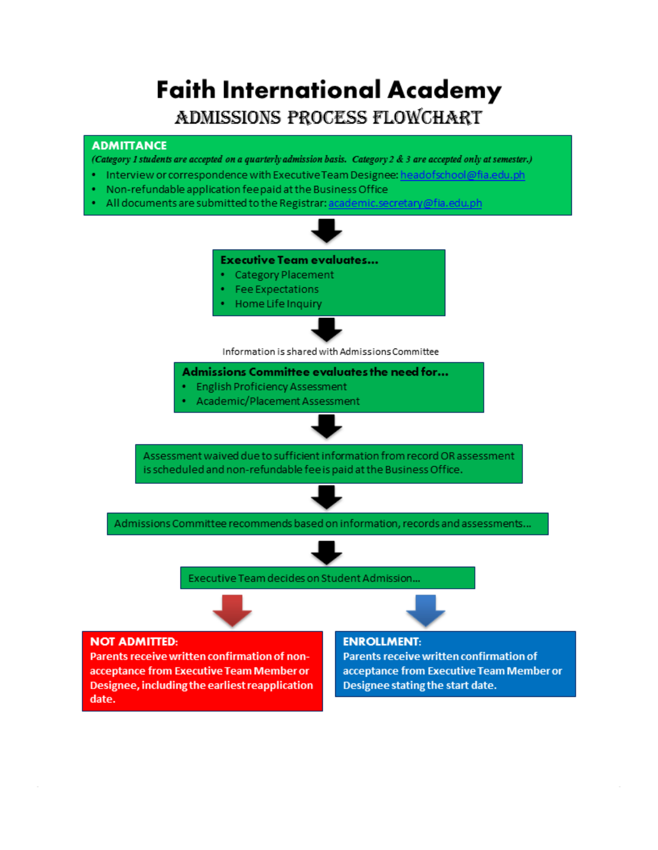# **Faith International Academy** ADMISSIONS PROCESS FLOWCHART

## **ADMITTANCE**

(Category 1 students are accepted on a quarterly admission basis. Category 2 & 3 are accepted only at semester.)

- Interview or correspondence with Executive Team Designee: headofschool@fia.edu.ph
- Non-refundable application feepaid at the Business Office
- All documents are submitted to the Registrar: academic.secretary@fia.edu.ph

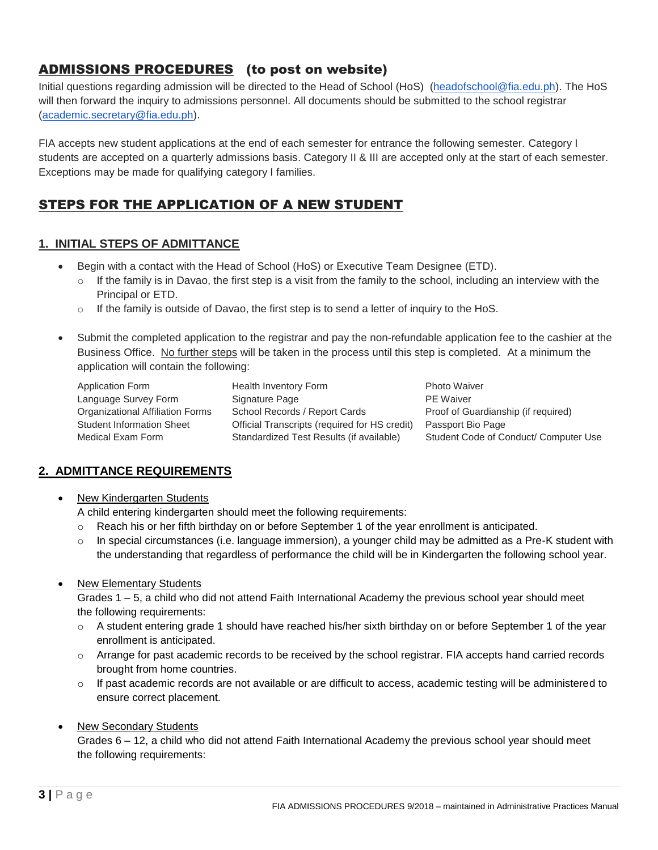## ADMISSIONS PROCEDURES (to post on website)

Initial questions regarding admission will be directed to the Head of School (HoS) [\(headofschool@fia.edu.ph\)](mailto:headofschool@fia.edu.ph). The HoS will then forward the inquiry to admissions personnel. All documents should be submitted to the school registrar [\(academic.secretary@fia.edu.ph\)](mailto:academic.secretary@fia.edu.ph).

FIA accepts new student applications at the end of each semester for entrance the following semester. Category I students are accepted on a quarterly admissions basis. Category II & III are accepted only at the start of each semester. Exceptions may be made for qualifying category I families.

## STEPS FOR THE APPLICATION OF A NEW STUDENT

## **1. INITIAL STEPS OF ADMITTANCE**

- Begin with a contact with the Head of School (HoS) or Executive Team Designee (ETD).
	- $\circ$  If the family is in Davao, the first step is a visit from the family to the school, including an interview with the Principal or ETD.
	- $\circ$  If the family is outside of Davao, the first step is to send a letter of inquiry to the HoS.
- Submit the completed application to the registrar and pay the non-refundable application fee to the cashier at the Business Office. No further steps will be taken in the process until this step is completed. At a minimum the application will contain the following:

Application Form Health Inventory Form Photo Waiver

Language Survey Form Signature Page PE Waiver Organizational Affiliation Forms School Records / Report Cards Proof of Guardianship (if required) Student Information Sheet Official Transcripts (required for HS credit) Passport Bio Page Medical Exam Form Standardized Test Results (if available) Student Code of Conduct/ Computer Use

## **2. ADMITTANCE REQUIREMENTS**

New Kindergarten Students

A child entering kindergarten should meet the following requirements:

- o Reach his or her fifth birthday on or before September 1 of the year enrollment is anticipated.
- $\circ$  In special circumstances (i.e. language immersion), a younger child may be admitted as a Pre-K student with the understanding that regardless of performance the child will be in Kindergarten the following school year.
- New Elementary Students

Grades 1 – 5, a child who did not attend Faith International Academy the previous school year should meet the following requirements:

- o A student entering grade 1 should have reached his/her sixth birthday on or before September 1 of the year enrollment is anticipated.
- o Arrange for past academic records to be received by the school registrar. FIA accepts hand carried records brought from home countries.
- $\circ$  If past academic records are not available or are difficult to access, academic testing will be administered to ensure correct placement.

## New Secondary Students

Grades 6 – 12, a child who did not attend Faith International Academy the previous school year should meet the following requirements: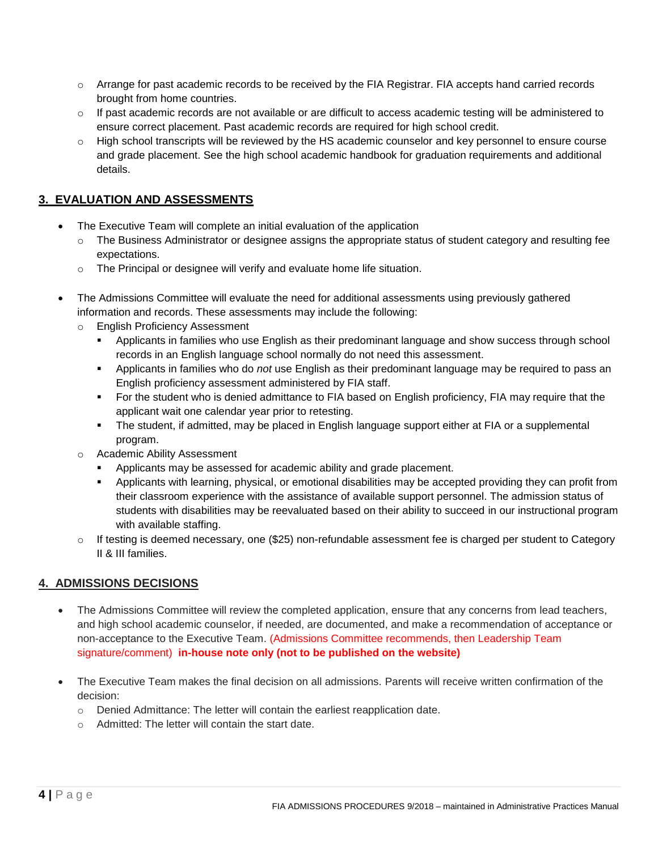- o Arrange for past academic records to be received by the FIA Registrar. FIA accepts hand carried records brought from home countries.
- $\circ$  If past academic records are not available or are difficult to access academic testing will be administered to ensure correct placement. Past academic records are required for high school credit.
- o High school transcripts will be reviewed by the HS academic counselor and key personnel to ensure course and grade placement. See the high school academic handbook for graduation requirements and additional details.

## **3. EVALUATION AND ASSESSMENTS**

- The Executive Team will complete an initial evaluation of the application
	- $\circ$  The Business Administrator or designee assigns the appropriate status of student category and resulting fee expectations.
	- o The Principal or designee will verify and evaluate home life situation.
- The Admissions Committee will evaluate the need for additional assessments using previously gathered information and records. These assessments may include the following:
	- o English Proficiency Assessment
		- Applicants in families who use English as their predominant language and show success through school records in an English language school normally do not need this assessment.
		- Applicants in families who do *not* use English as their predominant language may be required to pass an English proficiency assessment administered by FIA staff.
		- For the student who is denied admittance to FIA based on English proficiency, FIA may require that the applicant wait one calendar year prior to retesting.
		- The student, if admitted, may be placed in English language support either at FIA or a supplemental program.
	- o Academic Ability Assessment
		- Applicants may be assessed for academic ability and grade placement.
		- Applicants with learning, physical, or emotional disabilities may be accepted providing they can profit from their classroom experience with the assistance of available support personnel. The admission status of students with disabilities may be reevaluated based on their ability to succeed in our instructional program with available staffing.
	- $\circ$  If testing is deemed necessary, one (\$25) non-refundable assessment fee is charged per student to Category II & III families.

## **4. ADMISSIONS DECISIONS**

- The Admissions Committee will review the completed application, ensure that any concerns from lead teachers, and high school academic counselor, if needed, are documented, and make a recommendation of acceptance or non-acceptance to the Executive Team. (Admissions Committee recommends, then Leadership Team signature/comment) **in-house note only (not to be published on the website)**
- The Executive Team makes the final decision on all admissions. Parents will receive written confirmation of the decision:
	- o Denied Admittance: The letter will contain the earliest reapplication date.
	- o Admitted: The letter will contain the start date.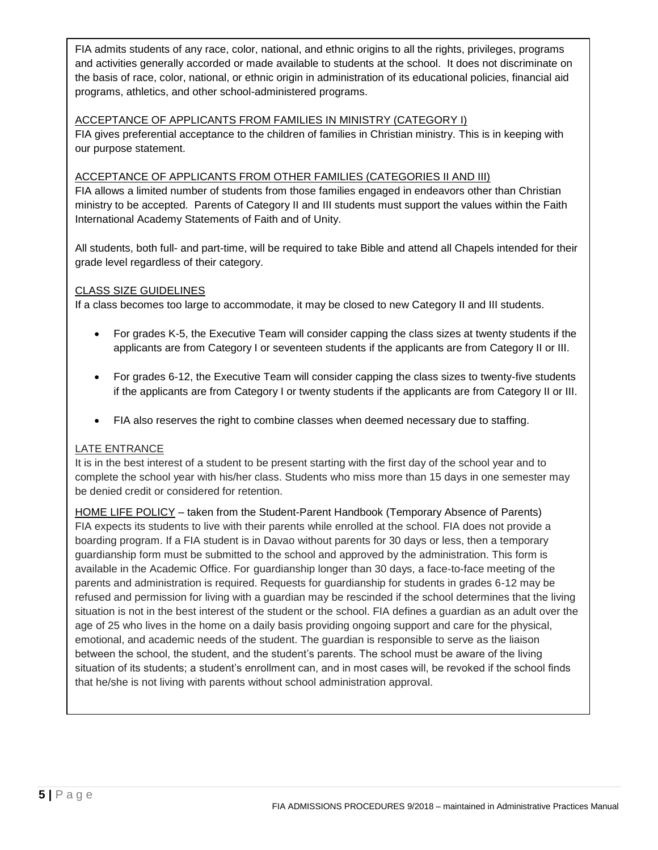FIA admits students of any race, color, national, and ethnic origins to all the rights, privileges, programs and activities generally accorded or made available to students at the school. It does not discriminate on the basis of race, color, national, or ethnic origin in administration of its educational policies, financial aid programs, athletics, and other school-administered programs.

## ACCEPTANCE OF APPLICANTS FROM FAMILIES IN MINISTRY (CATEGORY I)

FIA gives preferential acceptance to the children of families in Christian ministry. This is in keeping with our purpose statement.

## ACCEPTANCE OF APPLICANTS FROM OTHER FAMILIES (CATEGORIES II AND III)

FIA allows a limited number of students from those families engaged in endeavors other than Christian ministry to be accepted. Parents of Category II and III students must support the values within the Faith International Academy Statements of Faith and of Unity.

All students, both full- and part-time, will be required to take Bible and attend all Chapels intended for their grade level regardless of their category.

#### CLASS SIZE GUIDELINES

If a class becomes too large to accommodate, it may be closed to new Category II and III students.

- For grades K-5, the Executive Team will consider capping the class sizes at twenty students if the applicants are from Category I or seventeen students if the applicants are from Category II or III.
- For grades 6-12, the Executive Team will consider capping the class sizes to twenty-five students if the applicants are from Category I or twenty students if the applicants are from Category II or III.
- FIA also reserves the right to combine classes when deemed necessary due to staffing.

#### LATE ENTRANCE

It is in the best interest of a student to be present starting with the first day of the school year and to complete the school year with his/her class. Students who miss more than 15 days in one semester may be denied credit or considered for retention.

HOME LIFE POLICY – taken from the Student-Parent Handbook (Temporary Absence of Parents) FIA expects its students to live with their parents while enrolled at the school. FIA does not provide a boarding program. If a FIA student is in Davao without parents for 30 days or less, then a temporary guardianship form must be submitted to the school and approved by the administration. This form is available in the Academic Office. For guardianship longer than 30 days, a face-to-face meeting of the parents and administration is required. Requests for guardianship for students in grades 6-12 may be refused and permission for living with a guardian may be rescinded if the school determines that the living situation is not in the best interest of the student or the school. FIA defines a guardian as an adult over the age of 25 who lives in the home on a daily basis providing ongoing support and care for the physical, emotional, and academic needs of the student. The guardian is responsible to serve as the liaison between the school, the student, and the student's parents. The school must be aware of the living situation of its students; a student's enrollment can, and in most cases will, be revoked if the school finds that he/she is not living with parents without school administration approval.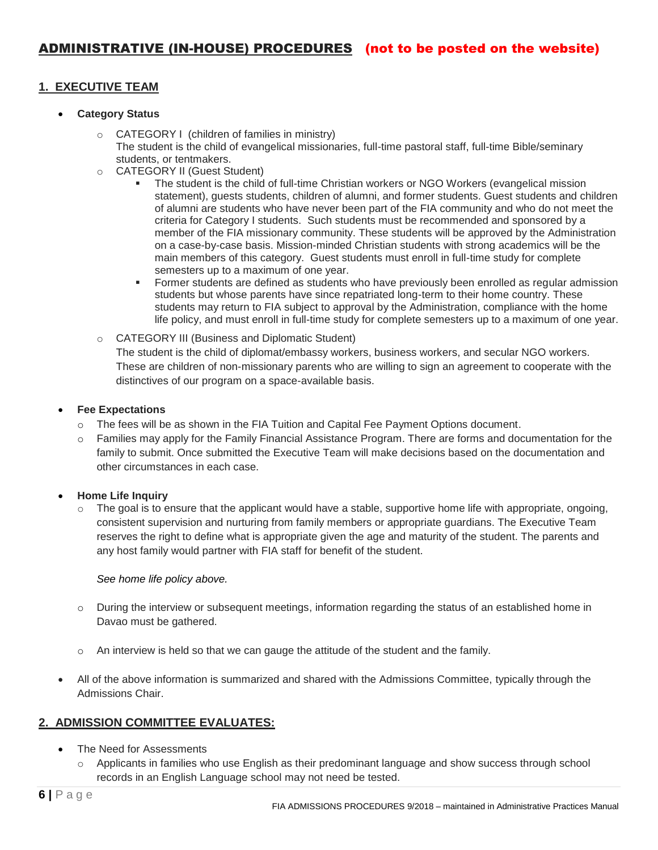## **1. EXECUTIVE TEAM**

#### **Category Status**

- o CATEGORY I (children of families in ministry) The student is the child of evangelical missionaries, full-time pastoral staff, full-time Bible/seminary students, or tentmakers.
- o CATEGORY II (Guest Student)
	- The student is the child of full-time Christian workers or NGO Workers (evangelical mission statement), guests students, children of alumni, and former students. Guest students and children of alumni are students who have never been part of the FIA community and who do not meet the criteria for Category I students. Such students must be recommended and sponsored by a member of the FIA missionary community. These students will be approved by the Administration on a case-by-case basis. Mission-minded Christian students with strong academics will be the main members of this category. Guest students must enroll in full-time study for complete semesters up to a maximum of one year.
		- **Former students are defined as students who have previously been enrolled as regular admission** students but whose parents have since repatriated long-term to their home country. These students may return to FIA subject to approval by the Administration, compliance with the home life policy, and must enroll in full-time study for complete semesters up to a maximum of one year.
- o CATEGORY III (Business and Diplomatic Student)

The student is the child of diplomat/embassy workers, business workers, and secular NGO workers. These are children of non-missionary parents who are willing to sign an agreement to cooperate with the distinctives of our program on a space-available basis.

#### **Fee Expectations**

- o The fees will be as shown in the FIA Tuition and Capital Fee Payment Options document.
- o Families may apply for the Family Financial Assistance Program. There are forms and documentation for the family to submit. Once submitted the Executive Team will make decisions based on the documentation and other circumstances in each case.

#### **Home Life Inquiry**

 $\circ$  The goal is to ensure that the applicant would have a stable, supportive home life with appropriate, ongoing, consistent supervision and nurturing from family members or appropriate guardians. The Executive Team reserves the right to define what is appropriate given the age and maturity of the student. The parents and any host family would partner with FIA staff for benefit of the student.

## *See home life policy above.*

- o During the interview or subsequent meetings, information regarding the status of an established home in Davao must be gathered.
- o An interview is held so that we can gauge the attitude of the student and the family.
- All of the above information is summarized and shared with the Admissions Committee, typically through the Admissions Chair.

## **2. ADMISSION COMMITTEE EVALUATES:**

- The Need for Assessments
	- $\circ$  Applicants in families who use English as their predominant language and show success through school records in an English Language school may not need be tested.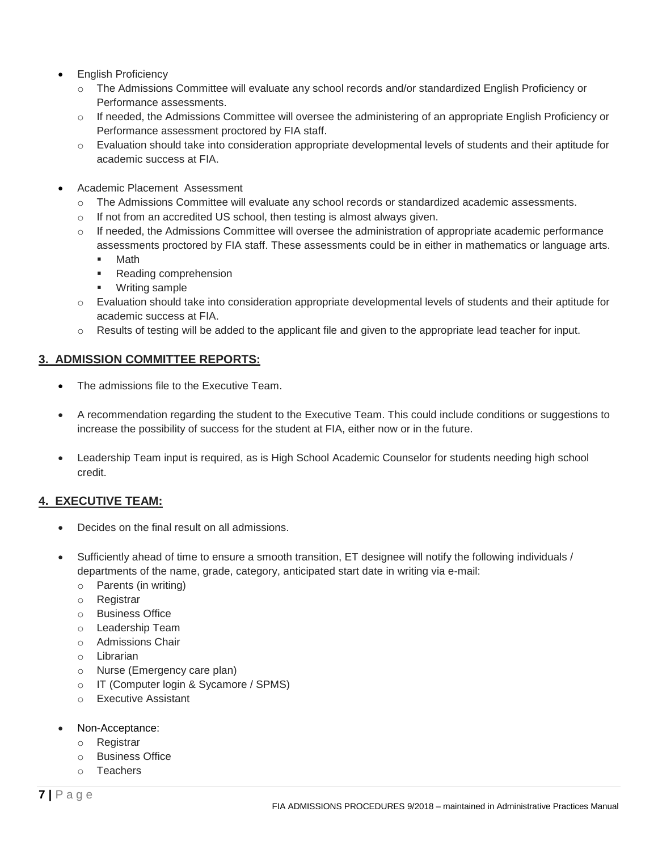- English Proficiency
	- o The Admissions Committee will evaluate any school records and/or standardized English Proficiency or Performance assessments.
	- o If needed, the Admissions Committee will oversee the administering of an appropriate English Proficiency or Performance assessment proctored by FIA staff.
	- o Evaluation should take into consideration appropriate developmental levels of students and their aptitude for academic success at FIA.
- Academic Placement Assessment
	- o The Admissions Committee will evaluate any school records or standardized academic assessments.
	- o If not from an accredited US school, then testing is almost always given.
	- $\circ$  If needed, the Admissions Committee will oversee the administration of appropriate academic performance assessments proctored by FIA staff. These assessments could be in either in mathematics or language arts.
		- Math
		- Reading comprehension
		- Writing sample
	- o Evaluation should take into consideration appropriate developmental levels of students and their aptitude for academic success at FIA.
	- o Results of testing will be added to the applicant file and given to the appropriate lead teacher for input.

## **3. ADMISSION COMMITTEE REPORTS:**

- The admissions file to the Executive Team.
- A recommendation regarding the student to the Executive Team. This could include conditions or suggestions to increase the possibility of success for the student at FIA, either now or in the future.
- Leadership Team input is required, as is High School Academic Counselor for students needing high school credit.

## **4. EXECUTIVE TEAM:**

- Decides on the final result on all admissions.
- Sufficiently ahead of time to ensure a smooth transition, ET designee will notify the following individuals / departments of the name, grade, category, anticipated start date in writing via e-mail:
	- o Parents (in writing)
	- o Registrar
	- o Business Office
	- o Leadership Team
	- o Admissions Chair
	- o Librarian
	- o Nurse (Emergency care plan)
	- o IT (Computer login & Sycamore / SPMS)
	- o Executive Assistant
- Non-Acceptance:
	- o Registrar
	- o Business Office
	- o Teachers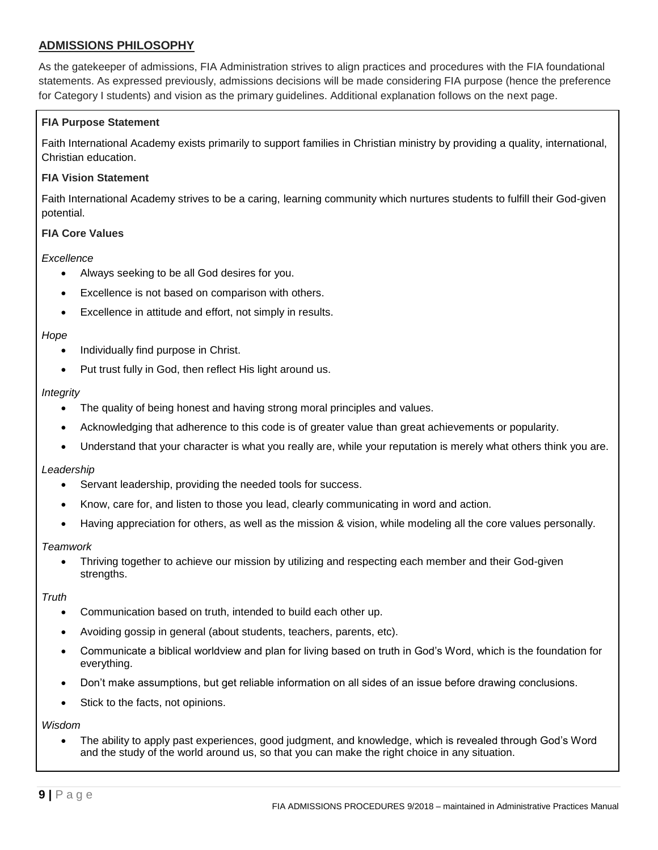## **ADMISSIONS PHILOSOPHY**

As the gatekeeper of admissions, FIA Administration strives to align practices and procedures with the FIA foundational statements. As expressed previously, admissions decisions will be made considering FIA purpose (hence the preference for Category I students) and vision as the primary guidelines. Additional explanation follows on the next page.

#### **FIA Purpose Statement**

Faith International Academy exists primarily to support families in Christian ministry by providing a quality, international, Christian education.

#### **FIA Vision Statement**

Faith International Academy strives to be a caring, learning community which nurtures students to fulfill their God-given potential.

#### **FIA Core Values**

#### *Excellence*

- Always seeking to be all God desires for you.
- Excellence is not based on comparison with others.
- Excellence in attitude and effort, not simply in results.

#### *Hope*

- Individually find purpose in Christ.
- Put trust fully in God, then reflect His light around us.

#### *Integrity*

- The quality of being honest and having strong moral principles and values.
- Acknowledging that adherence to this code is of greater value than great achievements or popularity.
- Understand that your character is what you really are, while your reputation is merely what others think you are.

#### *Leadership*

- Servant leadership, providing the needed tools for success.
- Know, care for, and listen to those you lead, clearly communicating in word and action.
- Having appreciation for others, as well as the mission & vision, while modeling all the core values personally.

#### *Teamwork*

 Thriving together to achieve our mission by utilizing and respecting each member and their God-given strengths.

#### *Truth*

- Communication based on truth, intended to build each other up.
- Avoiding gossip in general (about students, teachers, parents, etc).
- Communicate a biblical worldview and plan for living based on truth in God's Word, which is the foundation for everything.
- Don't make assumptions, but get reliable information on all sides of an issue before drawing conclusions.
- Stick to the facts, not opinions.

*Wisdom*

 The ability to apply past experiences, good judgment, and knowledge, which is revealed through God's Word and the study of the world around us, so that you can make the right choice in any situation.